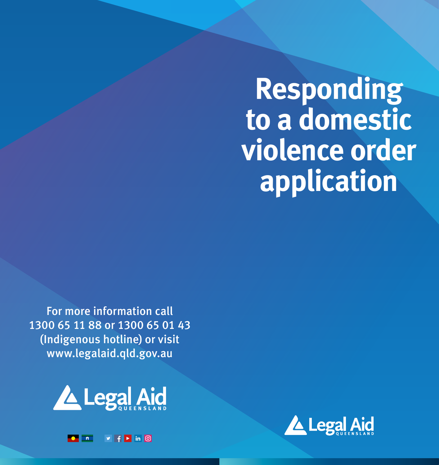**Responding to a domestic violence order application** 

For more information call 1300 65 11 88 or 1300 65 01 43 (Indigenous hotline) or visit www.legalaid.qld.gov.au



 $\begin{array}{|c|c|c|}\n\hline\n\bullet & n \\ \hline\n\end{array}$ 

 $\triangleright$  |  $\vdash$  | in |  $\odot$ 

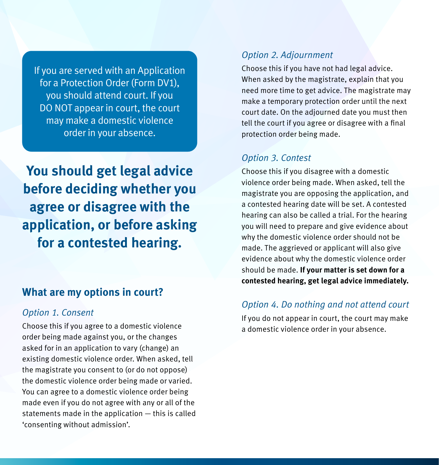If you are served with an Application for a Protection Order (Form DV1), you should attend court. If you DO NOT appear in court, the court may make a domestic violence order in your absence.

**You should get legal advice before deciding whether you agree or disagree with the application, or before asking for a contested hearing.**

### **What are my options in court?**

#### *Option 1. Consent*

Choose this if you agree to a domestic violence order being made against you, or the changes asked for in an application to vary (change) an existing domestic violence order. When asked, tell the magistrate you consent to (or do not oppose) the domestic violence order being made or varied. You can agree to a domestic violence order being made even if you do not agree with any or all of the statements made in the application — this is called 'consenting without admission'.

#### *Option 2. Adjournment*

Choose this if you have not had legal advice. When asked by the magistrate, explain that you need more time to get advice. The magistrate may make a temporary protection order until the next court date. On the adjourned date you must then tell the court if you agree or disagree with a final protection order being made.

#### *Option 3. Contest*

Choose this if you disagree with a domestic violence order being made. When asked, tell the magistrate you are opposing the application, and a contested hearing date will be set. A contested hearing can also be called a trial. For the hearing you will need to prepare and give evidence about why the domestic violence order should not be made. The aggrieved or applicant will also give evidence about why the domestic violence order should be made. **If your matter is set down for a contested hearing, get legal advice immediately.**

### *Option 4. Do nothing and not attend court*

If you do not appear in court, the court may make a domestic violence order in your absence.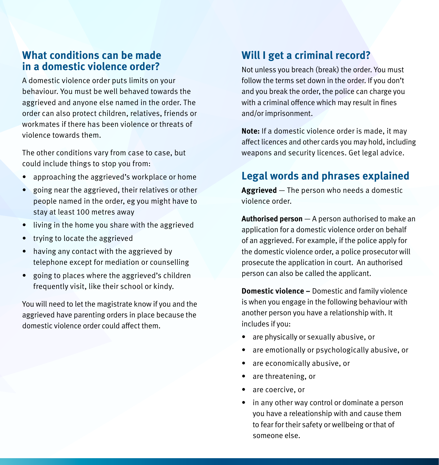### **What conditions can be made in a domestic violence order?**

A domestic violence order puts limits on your behaviour. You must be well behaved towards the aggrieved and anyone else named in the order. The order can also protect children, relatives, friends or workmates if there has been violence or threats of violence towards them.

The other conditions vary from case to case, but could include things to stop you from:

- approaching the aggrieved's workplace or home
- going near the aggrieved, their relatives or other people named in the order, eg you might have to stay at least 100 metres away
- living in the home you share with the aggrieved
- trying to locate the aggrieved
- having any contact with the aggrieved by telephone except for mediation or counselling
- going to places where the aggrieved's children frequently visit, like their school or kindy.

You will need to let the magistrate know if you and the aggrieved have parenting orders in place because the domestic violence order could affect them.

### **Will I get a criminal record?**

Not unless you breach (break) the order. You must follow the terms set down in the order. If you don't and you break the order, the police can charge you with a criminal offence which may result in fines and/or imprisonment.

**Note:** If a domestic violence order is made, it may affect licences and other cards you may hold, including weapons and security licences. Get legal advice.

### **Legal words and phrases explained**

**Aggrieved** — The person who needs a domestic violence order.

**Authorised person** — A person authorised to make an application for a domestic violence order on behalf of an aggrieved. For example, if the police apply for the domestic violence order, a police prosecutor will prosecute the application in court. An authorised person can also be called the applicant.

**Domestic violence –** Domestic and family violence is when you engage in the following behaviour with another person you have a relationship with. It includes if you:

- are physically or sexually abusive, or
- are emotionally or psychologically abusive, or
- are economically abusive, or
- are threatening, or
- are coercive, or
- in any other way control or dominate a person you have a releationship with and cause them to fear for their safety or wellbeing or that of someone else.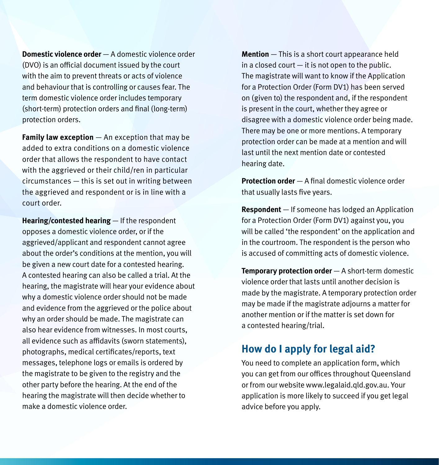**Domestic violence order** — A domestic violence order (DVO) is an official document issued by the court with the aim to prevent threats or acts of violence and behaviour that is controlling or causes fear. The term domestic violence order includes temporary (short-term) protection orders and final (long-term) protection orders.

**Family law exception** — An exception that may be added to extra conditions on a domestic violence order that allows the respondent to have contact with the aggrieved or their child/ren in particular circumstances — this is set out in writing between the aggrieved and respondent or is in line with a court order.

**Hearing/contested hearing** — If the respondent opposes a domestic violence order, or if the aggrieved/applicant and respondent cannot agree about the order's conditions at the mention, you will be given a new court date for a contested hearing. A contested hearing can also be called a trial. At the hearing, the magistrate will hear your evidence about why a domestic violence order should not be made and evidence from the aggrieved or the police about why an order should be made. The magistrate can also hear evidence from witnesses. In most courts, all evidence such as affidavits (sworn statements), photographs, medical certificates/reports, text messages, telephone logs or emails is ordered by the magistrate to be given to the registry and the other party before the hearing. At the end of the hearing the magistrate will then decide whether to make a domestic violence order.

**Mention** — This is a short court appearance held in a closed court  $-$  it is not open to the public. The magistrate will want to know if the Application for a Protection Order (Form DV1) has been served on (given to) the respondent and, if the respondent is present in the court, whether they agree or disagree with a domestic violence order being made. There may be one or more mentions. A temporary protection order can be made at a mention and will last until the next mention date or contested hearing date.

**Protection order** — A final domestic violence order that usually lasts five years.

**Respondent** — If someone has lodged an Application for a Protection Order (Form DV1) against you, you will be called 'the respondent' on the application and in the courtroom. The respondent is the person who is accused of committing acts of domestic violence.

**Temporary protection order** — A short-term domestic violence order that lasts until another decision is made by the magistrate. A temporary protection order may be made if the magistrate adjourns a matter for another mention or if the matter is set down for a contested hearing/trial.

## **How do I apply for legal aid?**

You need to complete an application form, which you can get from our offices throughout Queensland or from our website www.legalaid.qld.gov.au. Your application is more likely to succeed if you get legal advice before you apply.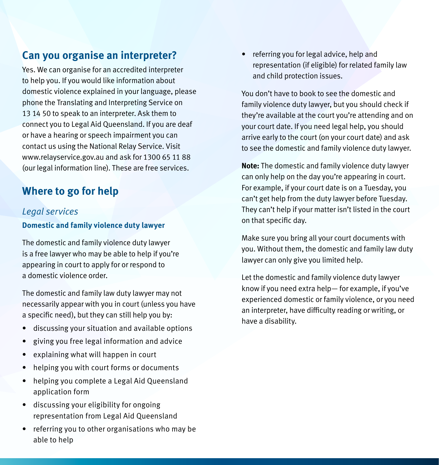## **Can you organise an interpreter?**

Yes. We can organise for an accredited interpreter to help you. If you would like information about domestic violence explained in your language, please phone the Translating and Interpreting Service on 13 14 50 to speak to an interpreter. Ask them to connect you to Legal Aid Queensland. If you are deaf or have a hearing or speech impairment you can contact us using the National Relay Service. Visit www.relayservice.gov.au and ask for 1300 65 11 88 (our legal information line). These are free services.

# **Where to go for help**

#### *Legal services*

#### **Domestic and family violence duty lawyer**

The domestic and family violence duty lawyer is a free lawyer who may be able to help if you're appearing in court to apply for or respond to a domestic violence order.

The domestic and family law duty lawyer may not necessarily appear with you in court (unless you have a specific need), but they can still help you by:

- discussing your situation and available options
- giving you free legal information and advice
- explaining what will happen in court
- helping you with court forms or documents
- helping you complete a Legal Aid Queensland application form
- discussing your eligibility for ongoing representation from Legal Aid Queensland
- referring you to other organisations who may be able to help

• referring you for legal advice, help and representation (if eligible) for related family law and child protection issues.

You don't have to book to see the domestic and family violence duty lawyer, but you should check if they're available at the court you're attending and on your court date. If you need legal help, you should arrive early to the court (on your court date) and ask to see the domestic and family violence duty lawyer.

**Note:** The domestic and family violence duty lawyer can only help on the day you're appearing in court. For example, if your court date is on a Tuesday, you can't get help from the duty lawyer before Tuesday. They can't help if your matter isn't listed in the court on that specific day.

Make sure you bring all your court documents with you. Without them, the domestic and family law duty lawyer can only give you limited help.

Let the domestic and family violence duty lawyer know if you need extra help— for example, if you've experienced domestic or family violence, or you need an interpreter, have difficulty reading or writing, or have a disability.